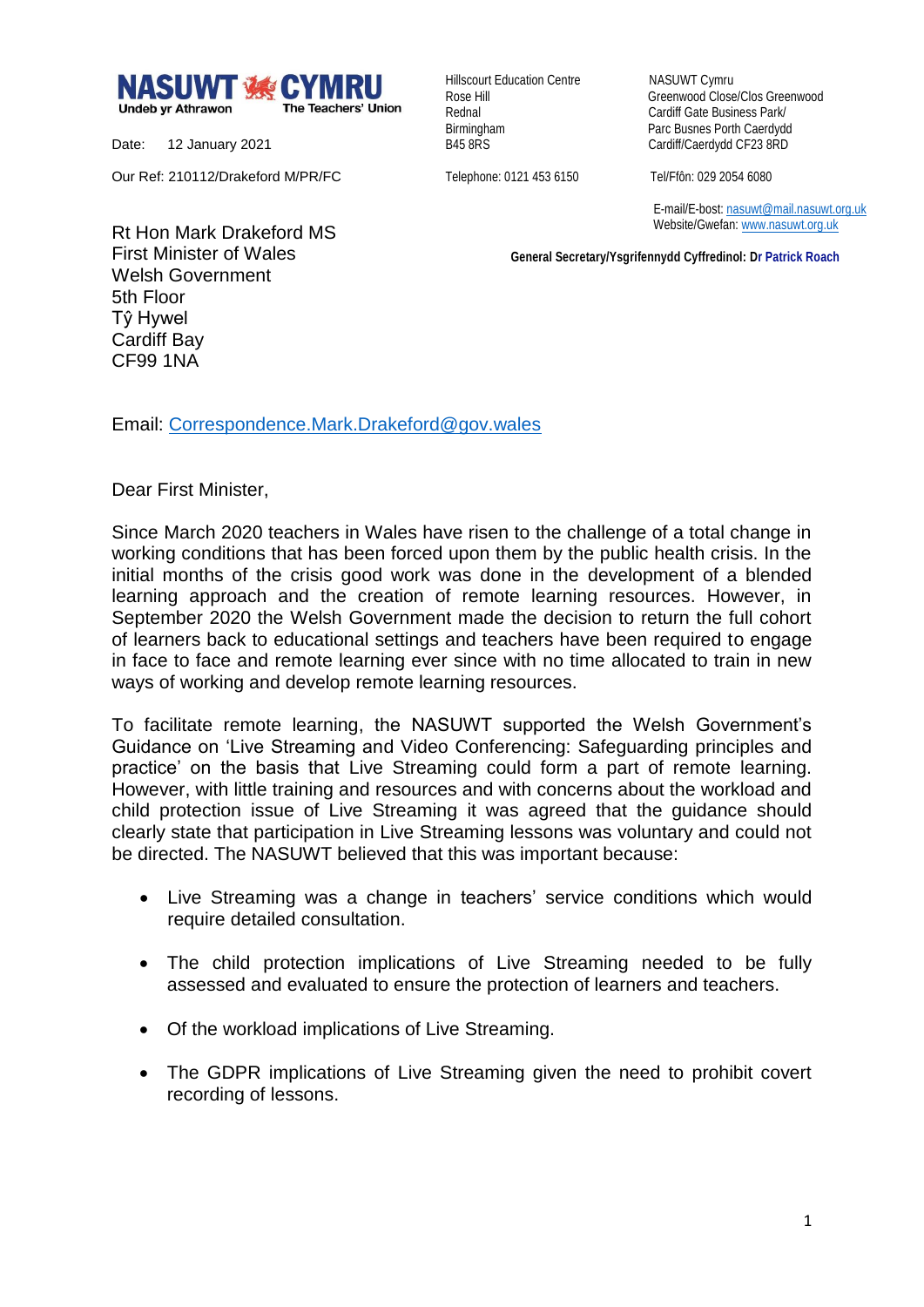

Date: 12 January 2021

Our Ref: 210112/Drakeford M/PR/FC

Hillscourt Education Centre NASUWT Cymru

Rose Hill Greenwood Close/Clos Greenwood Rednal **Cardiff Gate Business Park/** Birmingham Parc Busnes Porth Caerdydd<br>
B45 8RS<br>
Cardiff/Caerdydd CF23 8RD Cardiff/Caerdydd CF23 8RD

Telephone: 0121 453 6150 Tel/Ffôn: 029 2054 6080

 E-mail/E-bost[: nasuwt@mail.nasuwt.org.uk](mailto:nasuwt@mail.nasuwt.org.uk) Website/Gwefan: [www.nasuwt.org.uk](http://www.nasuwt.org.uk/)

 **General Secretary/Ysgrifennydd Cyffredinol: Dr Patrick Roach**

Rt Hon Mark Drakeford MS First Minister of Wales Welsh Government 5th Floor Tŷ Hywel Cardiff Bay CF99 1NA

Email: [Correspondence.Mark.Drakeford@gov.wales](mailto:Correspondence.Mark.Drakeford@gov.wales)

Dear First Minister,

Since March 2020 teachers in Wales have risen to the challenge of a total change in working conditions that has been forced upon them by the public health crisis. In the initial months of the crisis good work was done in the development of a blended learning approach and the creation of remote learning resources. However, in September 2020 the Welsh Government made the decision to return the full cohort of learners back to educational settings and teachers have been required to engage in face to face and remote learning ever since with no time allocated to train in new ways of working and develop remote learning resources.

To facilitate remote learning, the NASUWT supported the Welsh Government's Guidance on 'Live Streaming and Video Conferencing: Safeguarding principles and practice' on the basis that Live Streaming could form a part of remote learning. However, with little training and resources and with concerns about the workload and child protection issue of Live Streaming it was agreed that the guidance should clearly state that participation in Live Streaming lessons was voluntary and could not be directed. The NASUWT believed that this was important because:

- Live Streaming was a change in teachers' service conditions which would require detailed consultation.
- The child protection implications of Live Streaming needed to be fully assessed and evaluated to ensure the protection of learners and teachers.
- Of the workload implications of Live Streaming.
- The GDPR implications of Live Streaming given the need to prohibit covert recording of lessons.